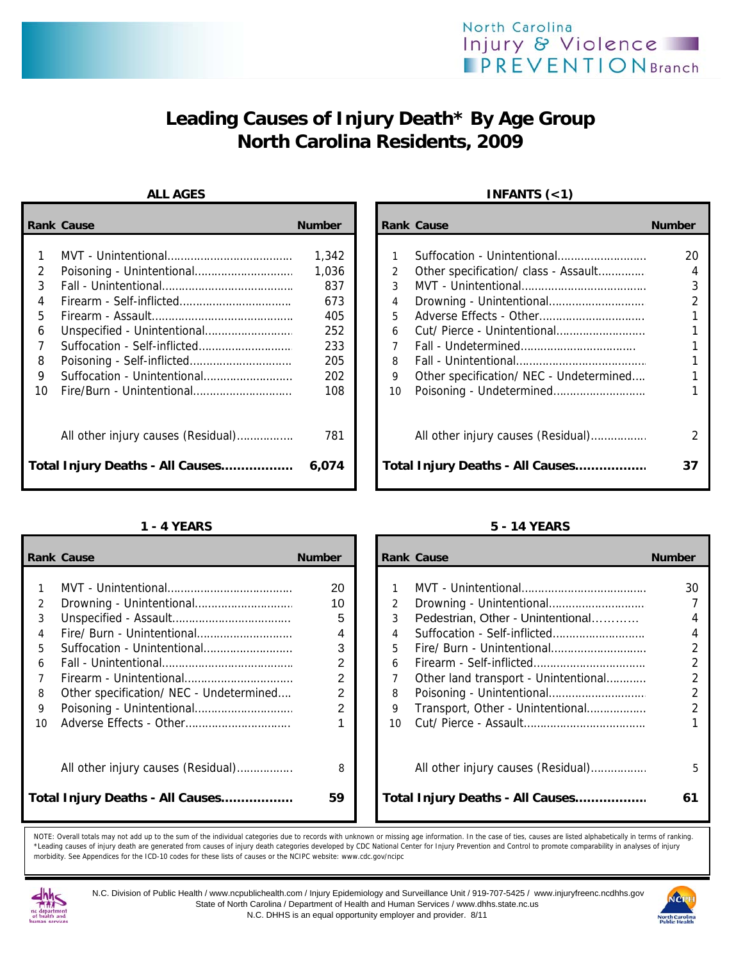# **Leading Causes of Injury Death\* By Age Group North Carolina Residents, 2009**

|    | <b>Rank Cause</b>                  | <b>Number</b> |               | <b>Rank Cause</b>                       | <b>Number</b> |
|----|------------------------------------|---------------|---------------|-----------------------------------------|---------------|
|    |                                    | 1,342         |               | Suffocation - Unintentional             | 20            |
| 2  |                                    | 1,036         | $\mathcal{P}$ | Other specification/ class - Assault    | 4             |
| 3  |                                    | 837           | 3             |                                         | 3             |
|    |                                    | 673           | 4             |                                         |               |
| 5. |                                    | 405           | 5.            |                                         |               |
| 6  |                                    | 252           | 6             |                                         |               |
|    | Suffocation - Self-inflicted       | 233           |               |                                         |               |
| 8  |                                    | 205           | 8             |                                         |               |
| 9  |                                    | 202           | 9             | Other specification/ NEC - Undetermined |               |
| 10 |                                    | 108           | 10            |                                         |               |
|    | All other injury causes (Residual) | 781           |               | All other injury causes (Residual)      | 2             |
|    | Total Injury Deaths - All Causes   | 6,074         |               | Total Injury Deaths - All Causes        | 37            |

|    | <b>Rank Cause</b>                       | <b>Number</b>  |           | <b>Rank Cause</b>                    | <b>Number</b>  |
|----|-----------------------------------------|----------------|-----------|--------------------------------------|----------------|
|    |                                         |                |           |                                      |                |
|    |                                         | 20             |           |                                      | 30             |
| 2  |                                         | 10             |           |                                      |                |
| 3  |                                         | 5              |           | Pedestrian, Other - Unintentional    | 4              |
|    |                                         | 4              |           |                                      | 4              |
| 5. |                                         | 3              | 5.        |                                      | $\overline{2}$ |
| 6  |                                         | 2              | 6         |                                      | $\overline{2}$ |
|    |                                         | $\overline{2}$ |           | Other land transport - Unintentional |                |
| 8  | Other specification/ NEC - Undetermined | 2              | 8         |                                      | $\overline{2}$ |
| 9  |                                         | 2              | 9         | Transport, Other - Unintentional     |                |
| 10 |                                         |                | $10^{-1}$ |                                      |                |
|    | All other injury causes (Residual)      | 8              |           | All other injury causes (Residual)   | 5              |
|    | Total Injury Deaths - All Causes        | 59             |           | Total Injury Deaths - All Causes     | 61             |

### ALL AGES **INFANTS** (<1)

| Cause                              | <b>Number</b> | <b>Rank Cause</b> |                                         | <b>Number</b> |
|------------------------------------|---------------|-------------------|-----------------------------------------|---------------|
|                                    |               |                   |                                         |               |
|                                    | 1,342         |                   | Suffocation - Unintentional             | 20            |
|                                    | 1,036         | $\mathcal{P}$     | Other specification/ class - Assault    |               |
|                                    | 837           | 3                 |                                         |               |
|                                    | 673           | 4                 |                                         |               |
|                                    | 405           | 5                 |                                         |               |
| Unspecified - Unintentional        | 252           | 6                 |                                         |               |
| Suffocation - Self-inflicted       | 233           | 7                 |                                         |               |
| Poisoning - Self-inflicted         | 205           | 8                 |                                         |               |
| Suffocation - Unintentional        | 202           | 9                 | Other specification/ NEC - Undetermined |               |
| Fire/Burn - Unintentional          | 108           | 10                |                                         |               |
| All other injury causes (Residual) | 781           |                   | All other injury causes (Residual)      |               |
| Injury Deaths - All Causes         | 6,074         |                   | Total Injury Deaths - All Causes        |               |

### **1 - 4 YEARS 5 - 14 YEARS**

|    | ank Cause                               | <b>Number</b>  |                 | <b>Rank Cause</b>                    | <b>Number</b>  |
|----|-----------------------------------------|----------------|-----------------|--------------------------------------|----------------|
|    |                                         |                |                 |                                      |                |
| 1  |                                         | 20             |                 |                                      | 30             |
| 2  |                                         | 10             | $\overline{2}$  |                                      |                |
| 3  |                                         | 5              | 3               | Pedestrian, Other - Unintentional    | 4              |
| 4  |                                         | 4              | $\overline{4}$  |                                      | 4              |
| 5. | Suffocation - Unintentional             | 3              | 5.              |                                      | $\overline{2}$ |
| 6  |                                         | 2              | 6               |                                      | $\overline{2}$ |
| 7  |                                         | 2              |                 | Other land transport - Unintentional | $\mathfrak{D}$ |
| 8  | Other specification/ NEC - Undetermined | 2              | 8               |                                      | $\mathfrak{D}$ |
| 9  |                                         | $\overline{2}$ | 9               | Transport, Other - Unintentional     | $\mathfrak{D}$ |
| ١O |                                         |                | 10 <sup>1</sup> |                                      |                |
|    |                                         |                |                 |                                      |                |
|    |                                         |                |                 |                                      |                |
|    | All other injury causes (Residual)      | 8              |                 | All other injury causes (Residual)   | 5              |
|    |                                         |                |                 |                                      |                |
|    | otal Injury Deaths - All Causes         | 59             |                 | Total Injury Deaths - All Causes     | 61             |
|    |                                         |                |                 |                                      |                |

NOTE: Overall totals may not add up to the sum of the individual categories due to records with unknown or missing age information. In the case of ties, causes are listed alphabetically in terms of ranking. \*Leading causes of injury death are generated from causes of injury death categories developed by CDC National Center for Injury Prevention and Control to promote comparability in analyses of injury morbidity. See Appendices for the ICD-10 codes for these lists of causes or the NCIPC website: www.cdc.gov/ncipc



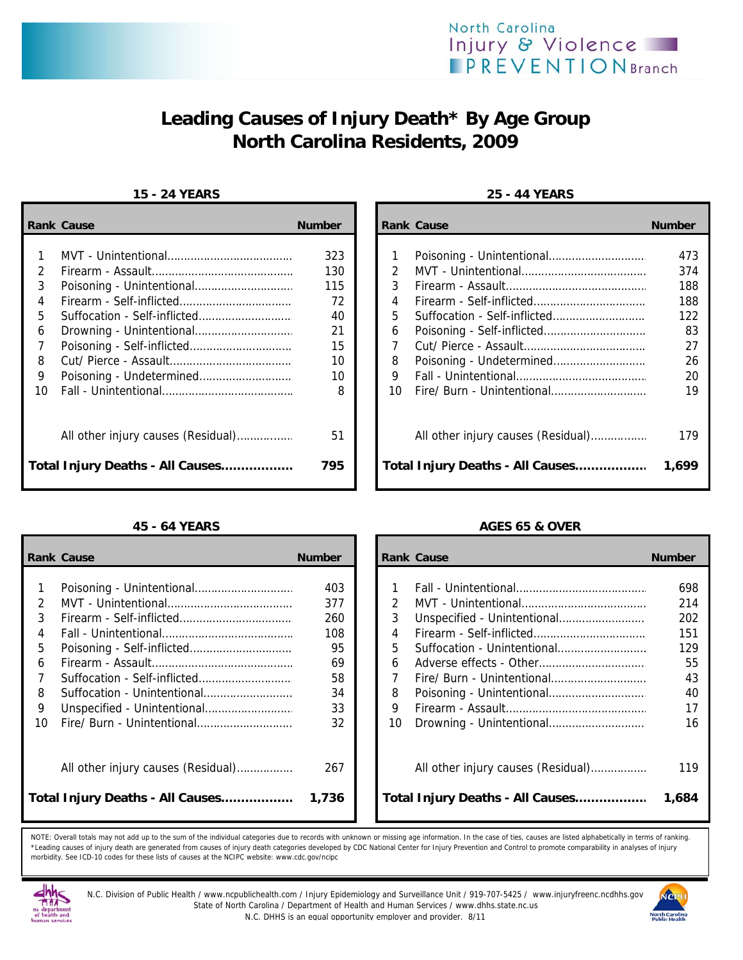

# **Leading Causes of Injury Death\* By Age Group North Carolina Residents, 2009**

### **15 - 24 YEARS 25 - 44 YEARS**

|        | <b>Rank Cause</b>                | <b>Number</b> |        | <b>Rank Cause</b>                  | <b>Number</b> |
|--------|----------------------------------|---------------|--------|------------------------------------|---------------|
| 2      |                                  | 323<br>130    | 2      |                                    | 473<br>374    |
| 3      |                                  | 115           | 3      |                                    | 188           |
| 4<br>5 |                                  | 72<br>40      | 4<br>5 |                                    | 188<br>122    |
| 6      |                                  | 21            | 6      |                                    | 83            |
| 8      |                                  | 15<br>10      | 8      |                                    | 27<br>26      |
| 9      |                                  | 10            | 9      |                                    | 20            |
| 10     |                                  | 8             | 10     |                                    | 19            |
|        |                                  | 51            |        | All other injury causes (Residual) | 179           |
|        | Total Injury Deaths - All Causes | 795           |        | Total Injury Deaths - All Causes   | 1,699         |

|                                  | <b>Rank Cause</b>                  | <b>Number</b> |    | <b>Rank Cause</b>                  | <b>Number</b> |
|----------------------------------|------------------------------------|---------------|----|------------------------------------|---------------|
|                                  |                                    | 403           |    |                                    | 698           |
|                                  |                                    |               |    |                                    |               |
|                                  |                                    | 377           | 2  |                                    | 214           |
|                                  |                                    | 260           | 3  |                                    | 202           |
|                                  |                                    | 108           | 4  |                                    | 151           |
| 5                                |                                    | 95            | 5  | Suffocation - Unintentional        | 129           |
| 6                                |                                    | 69            | 6  |                                    | 55            |
|                                  |                                    | 58            |    |                                    | 43            |
| 8                                | Suffocation - Unintentional        | 34            | 8  |                                    | 40            |
| 9                                |                                    | 33            | 9  |                                    | 17            |
| 10                               | Fire/ Burn - Unintentional         | 32            | 10 |                                    | 16            |
|                                  | All other injury causes (Residual) | 267           |    | All other injury causes (Residual) | 119           |
| Total Injury Deaths - All Causes |                                    | 1,736         |    | Total Injury Deaths - All Causes   | 1,684         |

| Cause                              | <b>Number</b> |                | <b>Rank Cause</b>                  | <b>Number</b> |
|------------------------------------|---------------|----------------|------------------------------------|---------------|
|                                    |               |                |                                    |               |
|                                    | 323           |                |                                    | 473           |
|                                    | 130           | $\mathfrak{D}$ |                                    | 374           |
|                                    | 115           | 3              |                                    | 188           |
|                                    | 72            | 4              |                                    | 188           |
| Suffocation - Self-inflicted       | 40            | 5              |                                    | 122           |
|                                    | 21            | 6              |                                    | 83            |
| Poisoning - Self-inflicted         | 15            | 7              |                                    | 27            |
|                                    | 10            | 8              |                                    | 26            |
|                                    | 10            | 9              |                                    | 20            |
|                                    | 8             | 10             |                                    | 19            |
|                                    | 51            |                |                                    | 179           |
| All other injury causes (Residual) |               |                | All other injury causes (Residual) |               |
| Injury Deaths - All Causes         | 795           |                | Total Injury Deaths - All Causes   | 1,699         |

### **45 - 64 YEARS AGES 65 & OVER**

| Cause                              | <b>Number</b> |               | <b>Rank Cause</b>                  | <b>Number</b> |
|------------------------------------|---------------|---------------|------------------------------------|---------------|
|                                    |               |               |                                    |               |
|                                    | 403           |               |                                    | 698           |
|                                    | 377           | $\mathcal{P}$ |                                    | 214           |
| Firearm - Self-inflicted           | 260           | 3             |                                    | 202           |
|                                    | 108           | 4             |                                    | 151           |
| Poisoning - Self-inflicted         | 95            | 5             |                                    | 129           |
|                                    | 69            | 6             |                                    | 55            |
| Suffocation - Self-inflicted       | 58            |               |                                    | 43            |
| Suffocation - Unintentional        | 34            | 8             |                                    | 40            |
| Unspecified - Unintentional        | 33            | 9             |                                    | 17            |
| Fire/ Burn - Unintentional         | 32            | 10            |                                    | 16            |
| All other injury causes (Residual) | 267           |               | All other injury causes (Residual) | 119           |
| Injury Deaths - All Causes         | 1,736         |               | Total Injury Deaths - All Causes   | 1,684         |

NOTE: Overall totals may not add up to the sum of the individual categories due to records with unknown or missing age information. In the case of ties, causes are listed alphabetically in terms of ranking. \*Leading causes of injury death are generated from causes of injury death categories developed by CDC National Center for Injury Prevention and Control to promote comparability in analyses of injury morbidity. See ICD-10 codes for these lists of causes at the NCIPC website: www.cdc.gov/ncipc



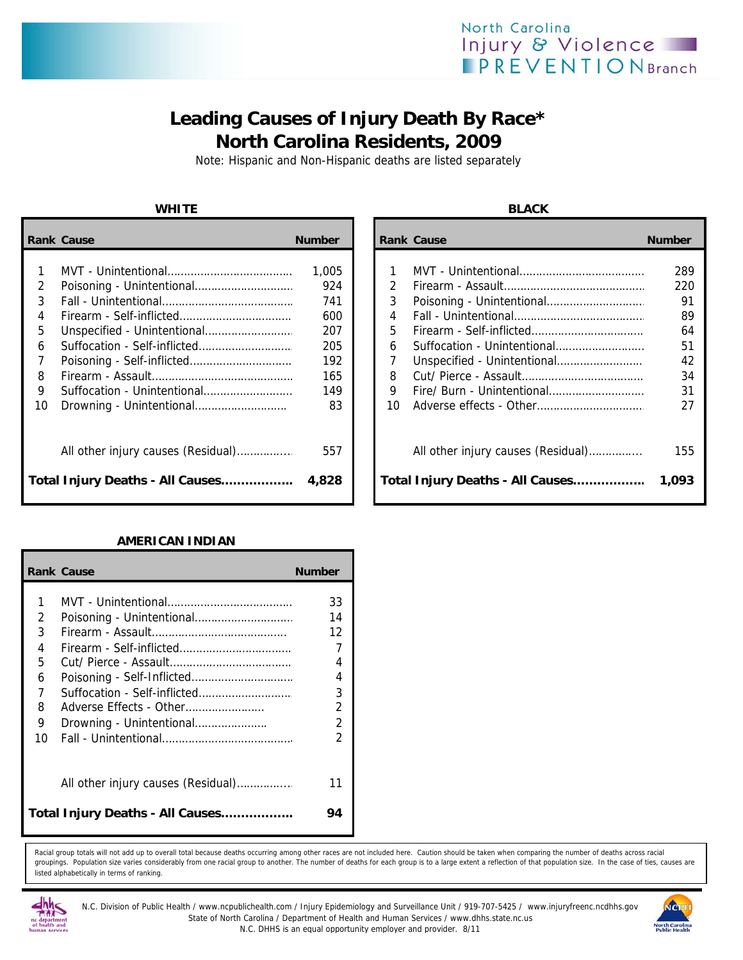## North Carolina Injury & Violence **PREVENTIONBranch**

## **Leading Causes of Injury Death By Race\* North Carolina Residents, 2009**

Note: Hispanic and Non-Hispanic deaths are listed separately

### **WHITE BLACK**

|    | <b>Rank Cause</b>                | <b>Number</b> |    | <b>Rank Cause</b>                  | <b>Number</b> |
|----|----------------------------------|---------------|----|------------------------------------|---------------|
|    |                                  | 1,005         |    |                                    | 289           |
| 2  |                                  | 924           | 2  |                                    | 220           |
| 3  |                                  | 741           | 3  |                                    | 91            |
| 4  |                                  | 600           | 4  |                                    | 89            |
| 5  |                                  | 207           | 5  |                                    | 64            |
| 6  | Suffocation - Self-inflicted     | 205           | 6  | Suffocation - Unintentional        | 51            |
|    |                                  | 192           |    |                                    | 42            |
| 8  |                                  | 165           | 8  |                                    | 34            |
| 9  | Suffocation - Unintentional      | 149           | 9  |                                    | 31            |
| 10 |                                  | 83            | 10 |                                    | 27            |
|    |                                  | 557           |    | All other injury causes (Residual) | 155           |
|    | Total Injury Deaths - All Causes | 4,828         |    | Total Injury Deaths - All Causes   | 1,093         |

### **AMERICAN INDIAN**

|    | <b>Rank Cause</b>                  | <b>Number</b>  |
|----|------------------------------------|----------------|
|    |                                    |                |
| 1  |                                    | 33             |
| 2  |                                    | 14             |
| 3  |                                    | 12             |
| 4  | Firearm - Self-inflicted           | 7              |
| 5  |                                    | 4              |
| 6  |                                    | 4              |
| 7  | Suffocation - Self-inflicted       | 3              |
| 8  | Adverse Effects - Other            | $\overline{2}$ |
| 9  | Drowning - Unintentional           | $\mathcal{P}$  |
| 10 |                                    | 2              |
|    | All other injury causes (Residual) | 11             |
|    | Total Injury Deaths - All Causes   | 94             |

Racial group totals will not add up to overall total because deaths occurring among other races are not included here. Caution should be taken when comparing the number of deaths across racial groupings. Population size varies considerably from one racial group to another. The number of deaths for each group is to a large extent a reflection of that population size. In the case of ties, causes are listed alphabetically in terms of ranking.



N.C. Division of Public Health / www.ncpublichealth.com / Injury Epidemiology and Surveillance Unit / 919-707-5425 / www.injuryfreenc.ncdhhs.gov State of North Carolina / Department of Health and Human Services / www.dhhs.state.nc.us N.C. DHHS is an equal opportunity employer and provider. 8/11